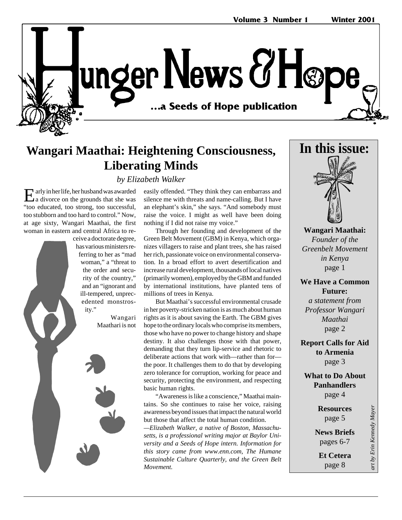unger News & Hope …a Seeds of Hope publication **…a Seeds of Hope publication**

### **Wangari Maathai: Heightening Consciousness, Liberating Minds**

*by Elizabeth Walker*

Early in her life, her husband was awarded  $\Delta a$  divorce on the grounds that she was "too educated, too strong, too successful, too stubborn and too hard to control." Now, at age sixty, Wangari Maathai, the first woman in eastern and central Africa to re-

> ceive a doctorate degree, has various ministers referring to her as "mad woman," a "threat to the order and security of the country," and an "ignorant and ill-tempered, unprecedented monstrosity."

> > Wangari Maathari is not

easily offended. "They think they can embarrass and silence me with threats and name-calling. But I have an elephant's skin," she says. "And somebody must raise the voice. I might as well have been doing nothing if I did not raise my voice."

Through her founding and development of the Green Belt Movement (GBM) in Kenya, which organizes villagers to raise and plant trees, she has raised her rich, passionate voice on environmental conservation. In a broad effort to avert desertification and increase rural development, thousands of local natives (primarily women), employed by the GBM and funded by international institutions, have planted tens of millions of trees in Kenya.

But Maathai's successful environmental crusade in her poverty-stricken nation is as much about human rights as it is about saving the Earth. The GBM gives hope to the ordinary locals who comprise its members, those who have no power to change history and shape destiny. It also challenges those with that power, demanding that they turn lip-service and rhetoric to deliberate actions that work with—rather than for the poor. It challenges them to do that by developing zero tolerance for corruption, working for peace and security, protecting the environment, and respecting basic human rights.

"Awareness is like a conscience," Maathai maintains. So she continues to raise her voice, raising awareness beyond issues that impact the natural world but those that affect the total human condition.

*—Elizabeth Walker, a native of Boston, Massachusetts, is a professional writing major at Baylor University and a Seeds of Hope intern. Information for this story came from www.enn.com, The Humane Sustainable Culture Quarterly, and the Green Belt Movement.*



**Wangari Maathai:** *Founder of the Greenbelt Movement in Kenya* page 1

**We Have a Common Future:** *a statement from Professor Wangari Maathai* page 2

**Report Calls for Aid to Armenia** page 3

**What to Do About Panhandlers** page 4

> **Resources** page 5

**News Briefs** pages 6-7

**Et Cetera** page 8

art by Erin Kennedy Mayer *art by Erin Kennedy Mayer*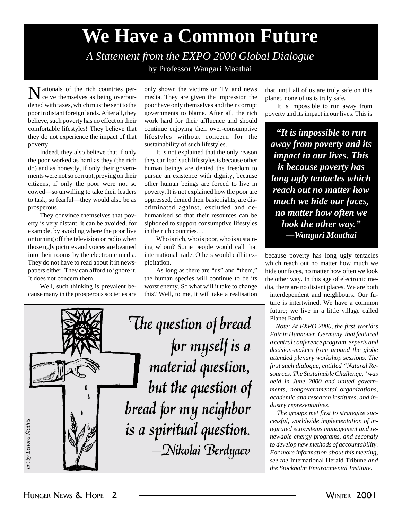# **We Have a Common Future**

*A Statement from the EXPO 2000 Global Dialogue* by Professor Wangari Maathai

Nationals of the rich countries per-ceive themselves as being overburdened with taxes, which must be sent to the poor in distant foreign lands. After all, they believe, such poverty has no effect on their comfortable lifestyles! They believe that they do not experience the impact of that poverty.

Indeed, they also believe that if only the poor worked as hard as they (the rich do) and as honestly, if only their governments were not so corrupt, preying on their citizens, if only the poor were not so cowed—so unwilling to take their leaders to task, so fearful—they would also be as prosperous.

They convince themselves that poverty is very distant, it can be avoided, for example, by avoiding where the poor live or turning off the television or radio when those ugly pictures and voices are beamed into their rooms by the electronic media. They do not have to read about it in newspapers either. They can afford to ignore it. It does not concern them.

Well, such thinking is prevalent because many in the prosperous societies are only shown the victims on TV and news media. They are given the impression the poor have only themselves and their corrupt governments to blame. After all, the rich work hard for their affluence and should continue enjoying their over-consumptive lifestyles without concern for the sustainability of such lifestyles.

It is not explained that the only reason they can lead such lifestyles is because other human beings are denied the freedom to pursue an existence with dignity, because other human beings are forced to live in poverty. It is not explained how the poor are oppressed, denied their basic rights, are discriminated against, excluded and dehumanised so that their resources can be siphoned to support consumptive lifestyles in the rich countries…

Who is rich, who is poor, who is sustaining whom? Some people would call that international trade. Others would call it exploitation.

As long as there are "us" and "them," the human species will continue to be its worst enemy. So what will it take to change this? Well, to me, it will take a realisation



that, until all of us are truly safe on this planet, none of us is truly safe.

It is impossible to run away from poverty and its impact in our lives. This is

*"It is impossible to run away from poverty and its impact in our lives. This is because poverty has long ugly tentacles which reach out no matter how much we hide our faces, no matter how often we look the other way." —Wangari Maathai*

because poverty has long ugly tentacles which reach out no matter how much we hide our faces, no matter how often we look the other way. In this age of electronic media, there are no distant places. We are both

interdependent and neighbours. Our future is intertwined. We have a common future; we live in a little village called Planet Earth.

*—Note: At EXPO 2000, the first World's Fair in Hannover, Germany, that featured a central conference program, experts and decision-makers from around the globe attended plenary workshop sessions. The first such dialogue, entitled "Natural Resources: The Sustainable Challenge," was held in June 2000 and united governments, nongovernmental organizations, academic and research institutes, and industry representatives.*

*The groups met first to strategize successful, worldwide implementation of integrated ecosystems management and renewable energy programs, and secondly to develop new methods of accountability. For more information about this meeting, see the* International Herald Tribune *and the Stockholm Environmental Institute.*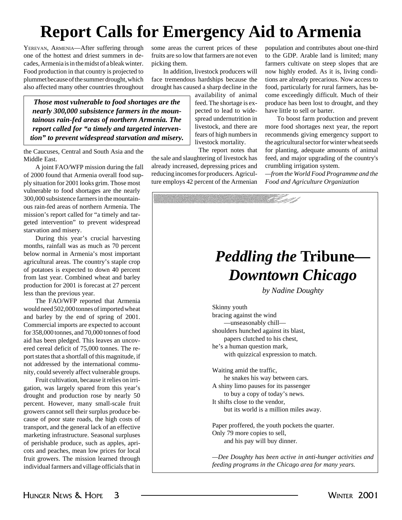# **Report Calls for Emergency Aid to Armenia**

YEREVAN, ARMENIA—After suffering through one of the hottest and driest summers in decades, Armenia is in the midst of a bleak winter. Food production in that country is projected to plummet because of the summer drought, which also affected many other countries throughout some areas the current prices of these fruits are so low that farmers are not even picking them.

In addition, livestock producers will face tremendous hardships because the drought has caused a sharp decline in the

*Those most vulnerable to food shortages are the nearly 300,000 subsistence farmers in the mountainous rain-fed areas of northern Armenia. The report called for "a timely and targeted intervention" to prevent widespread starvation and misery.*

the Caucuses, Central and South Asia and the Middle East.

A joint FAO/WFP mission during the fall of 2000 found that Armenia overall food supply situation for 2001 looks grim. Those most vulnerable to food shortages are the nearly 300,000 subsistence farmers in the mountainous rain-fed areas of northern Armenia. The mission's report called for "a timely and targeted intervention" to prevent widespread starvation and misery.

During this year's crucial harvesting months, rainfall was as much as 70 percent below normal in Armenia's most important agricultural areas. The country's staple crop of potatoes is expected to down 40 percent from last year. Combined wheat and barley production for 2001 is forecast at 27 percent less than the previous year.

The FAO/WFP reported that Armenia would need 502,000 tonnes of imported wheat and barley by the end of spring of 2001. Commercial imports are expected to account for 358,000 tonnes, and 70,000 tonnes of food aid has been pledged. This leaves an uncovered cereal deficit of 75,000 tonnes. The report states that a shortfall of this magnitude, if not addressed by the international community, could severely affect vulnerable groups.

Fruit cultivation, because it relies on irrigation, was largely spared from this year's drought and production rose by nearly 50 percent. However, many small-scale fruit growers cannot sell their surplus produce because of poor state roads, the high costs of transport, and the general lack of an effective marketing infrastructure. Seasonal surpluses of perishable produce, such as apples, apricots and peaches, mean low prices for local fruit growers. The mission learned through individual farmers and village officials that in

availability of animal feed. The shortage is expected to lead to widespread undernutrition in livestock, and there are fears of high numbers in livestock mortality.

The report notes that

the sale and slaughtering of livestock has already increased, depressing prices and reducing incomes for producers. Agriculture employs 42 percent of the Armenian population and contributes about one-third to the GDP. Arable land is limited; many farmers cultivate on steep slopes that are now highly eroded. As it is, living conditions are already precarious. Now access to food, particularly for rural farmers, has become exceedingly difficult. Much of their produce has been lost to drought, and they have little to sell or barter.

To boost farm production and prevent more food shortages next year, the report recommends giving emergency support to the agricultural sector for winter wheat seeds for planting, adequate amounts of animal feed, and major upgrading of the country's crumbling irrigation system.

*—from the World Food Programme and the Food and Agriculture Organization*

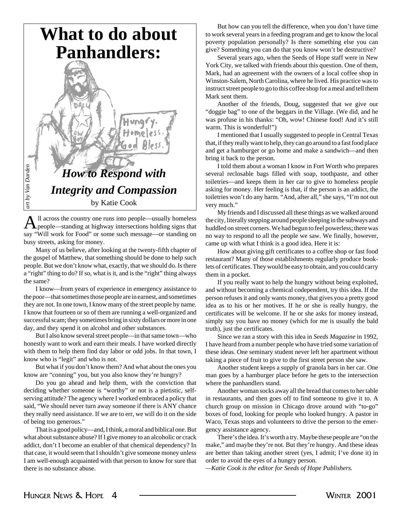

All across the country one runs into people—usually homeless<br>people—standing at highway intersections holding signs that say "Will work for Food" or some such message—or standing on busy streets, asking for money.

Many of us believe, after looking at the twenty-fifth chapter of the gospel of Matthew, that something should be done to help such people. But we don't know what, exactly, that we should do. Is there a "right" thing to do? If so, what is it, and is the "right" thing always the same?

I know—from years of experience in emergency assistance to the poor—that sometimes those people are in earnest, and sometimes they are not. In one town, I know many of the street people by name. I know that fourteen or so of them are running a well-organized and successful scam; they sometimes bring in sixty dollars or more in one day, and they spend it on alcohol and other substances.

But I also know several street people—in that same town—who honestly want to work and earn their meals. I have worked directly with them to help them find day labor or odd jobs. In that town, I know who is "legit" and who is not.

But what if you don't know them? And what about the ones you know are "conning" you, but you also know they're hungry?

Do you go ahead and help them, with the conviction that deciding whether someone is "worthy" or not is a pietistic, selfserving attitude? The agency where I worked embraced a policy that said, "We should never turn away someone if there is ANY chance they really need assistance. If we are to err, we will do it on the side of being too generous."

That is a good policy—and, I think, a moral and biblical one. But what about substance abuse? If I give money to an alcoholic or crack addict, don't I become an enabler of that chemical dependency? In that case, it would seem that I shouldn't give someone money unless I am well-enough acquainted with that person to know for sure that there is no substance abuse.

But how can you tell the difference, when you don't have time to work several years in a feeding program and get to know the local poverty population personally? Is there something else you can give? Something you can do that you know won't be destructive?

Several years ago, when the Seeds of Hope staff were in New York City, we talked with friends about this question. One of them, Mark, had an agreement with the owners of a local coffee shop in Winston-Salem, North Carolina, where he lived. His practice was to instruct street people to go to this coffee shop for a meal and tell them Mark sent them.

Another of the friends, Doug, suggested that we give our "doggie bag" to one of the beggars in the Village. (We did, and he was profuse in his thanks: "Oh, wow! Chinese food! And it's still warm. This is wonderful!")

I mentioned that I usually suggested to people in Central Texas that, if they really want to help, they can go around to a fast food place and get a hamburger or go home and make a sandwich—and then bring it back to the person.

I told them about a woman I know in Fort Worth who prepares several reclosable bags filled with soap, toothpaste, and other toiletries—and keeps them in her car to give to homeless people asking for money. Her feeling is that, if the person is an addict, the toiletries won't do any harm. "And, after all," she says, "I'm not out very much."

My friends and I discussed all these things as we walked around the city, literally stepping around people sleeping in the subways and huddled on street corners. We had begun to feel powerless; there was no way to respond to all the people we saw. We finally, however, came up with what I think is a good idea. Here it is:

How about giving gift certificates to a coffee shop or fast food restaurant? Many of those establishments regularly produce booklets of certificates. They would be easy to obtain, and you could carry them in a pocket.

If you really want to help the hungry without being exploited, and without becoming a chemical codependent, try this idea. If the person refuses it and only wants money, that gives you a pretty good idea as to his or her motives. If he or she is really hungry, the certificates will be welcome. If he or she asks for money instead, simply say you have no money (which for me is usually the bald truth), just the certificates.

Since we ran a story with this idea in *Seeds Magazine* in 1992, I have heard from a number people who have tried some variation of these ideas. One seminary student never left her apartment without taking a piece of fruit to give to the first street person she saw.

Another student keeps a supply of granola bars in her car. One man goes by a hamburger place before he gets to the intersection where the panhandlers stand.

Another woman socks away all the bread that comes to her table in restaurants, and then goes off to find someone to give it to. A church group on mission in Chicago drove around with "to-go" boxes of food, looking for people who looked hungry. A pastor in Waco, Texas stops and volunteers to drive the person to the emergency assistance agency.

There's the idea. It's worth a try. Maybe these people are "on the make," and maybe they're not. But they're hungry. And these ideas are better than taking another street (yes, I admit; I've done it) in order to avoid the eyes of a hungry person.

*—Katie Cook is the editor for Seeds of Hope Publishers.*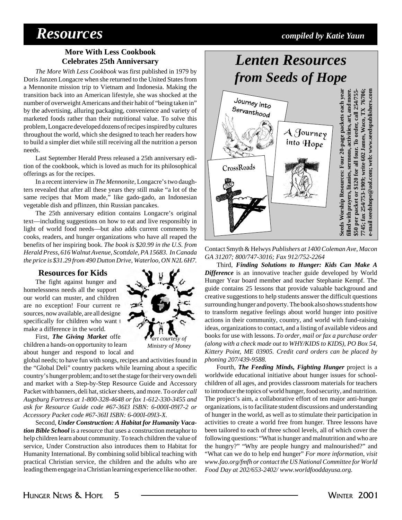## *Resources compiled by Katie Yaun*

### **More With Less Cookbook Celebrates 25th Anniversary**

*The More With Less Cookbook* was first published in 1979 by Doris Janzen Longacre when she returned to the United States from a Mennonite mission trip to Vietnam and Indonesia. Making the transition back into an American lifestyle, she was shocked at the number of overweight Americans and their habit of "being taken in" by the advertising, alluring packaging, convenience and variety of marketed foods rather than their nutritional value. To solve this problem, Longacre developed dozens of recipes inspired by cultures throughout the world, which she designed to teach her readers how to build a simpler diet while still receiving all the nutrition a person needs.

Last September Herald Press released a 25th anniversary edition of the cookbook, which is loved as much for its philosophical offerings as for the recipes.

In a recent interview in *The Mennonite*, Longacre's two daughters revealed that after all these years they still make "a lot of the same recipes that Mom made," like gado-gado, an Indonesian vegetable dish and pflinzen, thin Russian pancakes.

The 25th anniversary edition contains Longacre's original text—including suggestions on how to eat and live responsibly in light of world food needs—but also adds current comments by cooks, readers, and hunger organizations who have all reaped the benefits of her inspiring book. *The book is \$20.99 in the U.S. from Herald Press, 616 Walnut Avenue, Scottdale, PA 15683. In Canada the price is \$31.29 from 490 Dutton Drive, Waterloo, ON N2L 6H7.*

#### **Resources for Kids**

The fight against hunger and homelessness needs all the support our world can muster, and children are no exception! Four current resources, now available, are all designed specifically for children who want t make a difference in the world.

First, *The Giving Market* offe children a hands-on opportunity to learn about hunger and respond to local and



global needs; to have fun with songs, recipes and activities found in the "Global Deli" country packets while learning about a specific country's hunger problem; and to set the stage for their very own deli and market with a Step-by-Step Resource Guide and Accessory Packet with banners, deli hat, sticker sheets, and more. To *order call Augsburg Fortress at 1-800-328-4648 or fax 1-612-330-3455 and ask for Resource Guide code #67-36I3 ISBN: 6-000I-09I7-2 or Accessory Packet code #67-36II ISBN: 6-000I-09I3-X.*

Second, *Under Construction: A Habitat for Humanity Vacation Bible School* is a resource that uses a construction metaphor to help children learn about community. To teach children the value of service, Under Construction also introduces them to Habitat for Humanity International. By combining solid biblical teaching with practical Christian service, the children and the adults who are leading them engage in a Christian learning experience like no other.

# *Lenten Resources from Seeds of Hope*



Contact Smyth & Helwys *Publishers at 1400 Coleman Ave, Macon GA 31207; 800/747-3016; Fax 912/752-2264*

Third, *Finding Solutions to Hunger: Kids Can Make A Difference* is an innovative teacher guide developed by World Hunger Year board member and teacher Stephanie Kempf. The guide contains 25 lessons that provide valuable background and creative suggestions to help students answer the difficult questions surrounding hunger and poverty. The book also shows students how to transform negative feelings about world hunger into positive actions in their community, country, and world with fund-raising ideas, organizations to contact, and a listing of available videos and books for use with lessons. *To order, mail or fax a purchase order (along with a check made out to WHY/KIDS to KIDS), PO Box 54, Kittery Point, ME 03905. Credit card orders can be placed by phoning 207/439-9588.*

Fourth, *The Feeding Minds, Fighting Hunger* project is a worldwide educational initiative about hunger issues for schoolchildren of all ages, and provides classroom materials for teachers to introduce the topics of world hunger, food security, and nutrition. The project's aim, a collaborative effort of ten major anti-hunger organizations, is to facilitate student discussions and understanding of hunger in the world, as well as to stimulate their participation in activities to create a world free from hunger. Three lessons have been tailored to each of three school levels, all of which cover the following questions: "What is hunger and malnutrition and who are the hungry?" "Why are people hungry and malnourished?" and "What can we do to help end hunger" *For more information, visit www.fao.org/fmfh or contact the US National Committee for World Food Day at 202/653-2402/ www.worldfooddayusa.org.*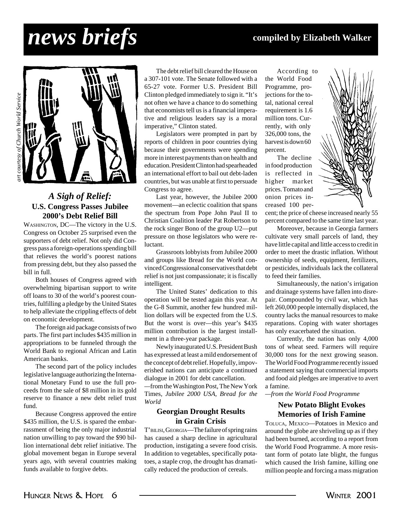# *news briefs* **compiled by Elizabeth Walker**



### *A Sigh of Relief:* **U.S. Congress Passes Jubilee 2000's Debt Relief Bill**

WASHINGTON, DC—The victory in the U.S. Congress on October 25 surprised even the supporters of debt relief. Not only did Congress pass a foreign-operations spending bill that relieves the world's poorest nations from pressing debt, but they also passed the bill in full.

Both houses of Congress agreed with overwhelming bipartisan support to write off loans to 30 of the world's poorest countries, fulfilling a pledge by the United States to help alleviate the crippling effects of debt on economic development.

The foreign aid package consists of two parts. The first part includes \$435 million in appropriations to be funneled through the World Bank to regional African and Latin American banks.

The second part of the policy includes legislative language authorizing the International Monetary Fund to use the full proceeds from the sale of \$8 million in its gold reserve to finance a new debt relief trust fund.

Because Congress approved the entire \$435 million, the U.S. is spared the embarrassment of being the only major industrial nation unwilling to pay toward the \$90 billion international debt relief initiative. The global movement began in Europe several years ago, with several countries making funds available to forgive debts.

The debt relief bill cleared the House on a 307-101 vote. The Senate followed with a 65-27 vote. Former U.S. President Bill Clinton pledged immediately to sign it. "It's not often we have a chance to do something that economists tell us is a financial imperative and religious leaders say is a moral imperative," Clinton stated.

Legislators were prompted in part by reports of children in poor countries dying because their governments were spending more in interest payments than on health and education. President Clinton had spearheaded an international effort to bail out debt-laden countries, but was unable at first to persuade Congress to agree.

Last year, however, the Jubilee 2000 movement—an eclectic coalition that spans the spectrum from Pope John Paul II to Christian Coalition leader Pat Robertson to the rock singer Bono of the group U2—put pressure on those legislators who were reluctant.

Grassroots lobbyists from Jubilee 2000 and groups like Bread for the World convinced Congressional conservatives that debt relief is not just compassionate; it is fiscally intelligent.

The United States' dedication to this operation will be tested again this year. At the G-8 Summit, another few hundred million dollars will be expected from the U.S. But the worst is over—this year's \$435 million contribution is the largest installment in a three-year package.

Newly inaugurated U.S. President Bush has expressed at least a mild endorsement of the concept of debt relief. Hopefully, impoverished nations can anticipate a continued dialogue in 2001 for debt cancellation.

*—*from the Washington Post, The New York Times*, Jubilee 2000 USA, Bread for the World*

#### **Georgian Drought Results in Grain Crisis**

T'BILISI, GEORGIA—The failure of spring rains has caused a sharp decline in agricultural production, instigating a severe food crisis. In addition to vegetables, specifically potatoes, a staple crop, the drought has dramatically reduced the production of cereals.

According to the World Food Programme, projections for the total, national cereal requirement is 1.6 million tons. Currently, with only 326,000 tons, the harvest is down 60 percent.

The decline in food production is reflected in higher market prices. Tomato and onion prices increased 100 per-



cent; the price of cheese increased nearly 55 percent compared to the same time last year.

Moreover, because in Georgia farmers cultivate very small parcels of land, they have little capital and little access to credit in order to meet the drastic inflation. Without ownership of seeds, equipment, fertilizers, or pesticides, individuals lack the collateral to feed their families.

Simultaneously, the nation's irrigation and drainage systems have fallen into disrepair. Compounded by civil war, which has left 260,000 people internally displaced, the country lacks the manual resources to make reparations. Coping with water shortages has only exacerbated the situation.

Currently, the nation has only 4,000 tons of wheat seed. Farmers will require 30,000 tons for the next growing season. The World Food Programme recently issued a statement saying that commercial imports and food aid pledges are imperative to avert a famine.

*—from the World Food Programme*

#### **New Potato Blight Evokes Memories of Irish Famine**

TOLUCA, MEXICO—Potatoes in Mexico and around the globe are shriveling up as if they had been burned, according to a report from the World Food Programme. A more resistant form of potato late blight, the fungus which caused the Irish famine, killing one million people and forcing a mass migration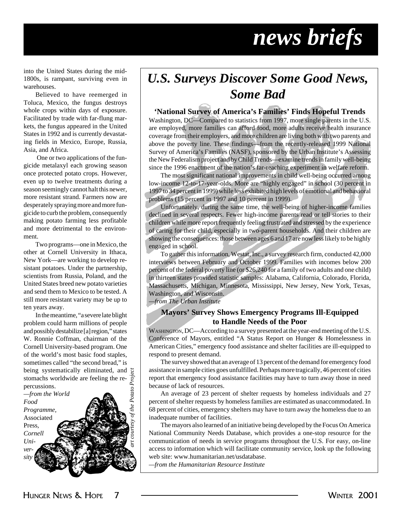# *news briefs*

into the United States during the mid-1800s, is rampant, surviving even in warehouses.

Believed to have reemerged in Toluca, Mexico, the fungus destroys whole crops within days of exposure. Facilitated by trade with far-flung markets, the fungus appeared in the United States in 1992 and is currently devastating fields in Mexico, Europe, Russia, Asia, and Africa.

 One or two applications of the fungicide metalaxyl each growing season once protected potato crops. However, even up to twelve treatments during a season seemingly cannot halt this newer, more resistant strand. Farmers now are desperately spraying more and more fungicide to curb the problem, consequently making potato farming less profitable and more detrimental to the environment.

Two programs—one in Mexico, the other at Cornell University in Ithaca, New York—are working to develop resistant potatoes. Under the partnership, scientists from Russia, Poland, and the United States breed new potato varieties and send them to Mexico to be tested. A still more resistant variety may be up to ten years away.

In the meantime, "a severe late blight problem could harm millions of people and possibly destabilize [a] region," states W. Ronnie Coffman, chairman of the Cornell University-based program. One of the world's most basic food staples, sometimes called "the second bread," is being systematically eliminated, and stomachs worldwide are feeling the repercussions.



## *U.S. Surveys Discover Some Good News, Some Bad*

#### **'National Survey of America's Families' Finds Hopeful Trends**

Washington, DC—Compared to statistics from 1997, more single parents in the U.S. are employed, more families can afford food, more adults receive health insurance coverage from their employers, and more children are living both with two parents and above the poverty line. These findings—from the recently-released 1999 National Survey of America's Families (NASF), sponsored by the Urban Institute's Assessing the New Federalism project and by Child Trends—examine trends in family well-being since the 1996 enactment of the nation's far-reaching experiment in welfare reform.

The most significant national improvements in child well-being occurred among low-income 12-to-17-year-olds. More are "highly engaged" in school (30 percent in 1997 to 34 percent in 1999) while less exhibited high levels of emotional and behavioral problems (15 percent in 1997 and 10 percent in 1999).

Unfortunately, during the same time, the well-being of higher-income families declined in several respects. Fewer high-income parents read or tell stories to their children while more report frequently feeling frustrated and stressed by the experience of caring for their child, especially in two-parent households. And their children are showing the consequences: those between ages 6 and 17 are now less likely to be highly engaged in school.

To gather this information, Westat, Inc., a survey research firm, conducted 42,000 interviews between February and October 1999. Families with incomes below 200 percent of the federal poverty line (or \$26,240 for a family of two adults and one child) in thirteen states provided statistic samples: Alabama, California, Colorado, Florida, Massachusetts, Michigan, Minnesota, Mississippi, New Jersey, New York, Texas, Washington, and Wisconsin.

*—from The Urban Institute*

### **Mayors' Survey Shows Emergency Programs Ill-Equipped to Handle Needs of the Poor**

WASHINGTON, DC—According to a survey presented at the year-end meeting of the U.S. Conference of Mayors, entitled "A Status Report on Hunger & Homelessness in American Cities," emergency food assistance and shelter facilities are ill-equipped to respond to present demand.

The survey showed that an average of 13 percent of the demand for emergency food assistance in sample cities goes unfulfilled. Perhaps more tragically, 46 percent of cities report that emergency food assistance facilities may have to turn away those in need because of lack of resources.

An average of 23 percent of shelter requests by homeless individuals and 27 percent of shelter requests by homeless families are estimated as unaccommodated. In 68 percent of cities, emergency shelters may have to turn away the homeless due to an inadequate number of facilities.

The mayors also learned of an initiative being developed by the Focus On America National Community Needs Database, which provides a one-stop resource for the communication of needs in service programs throughout the U.S. For easy, on-line access to information which will facilitate community service, look up the following web site: www.humanitarian.net/usdatabase.

*—from the Humanitarian Resource Institute*